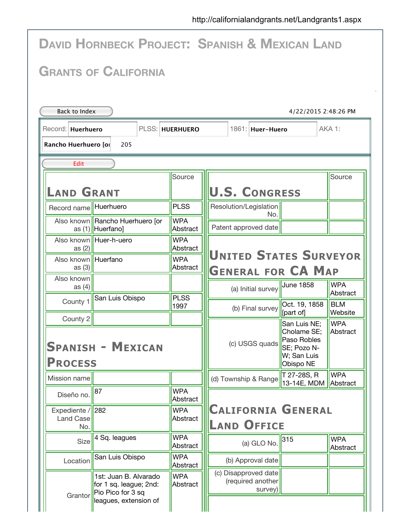| <b>DAVID HORNBECK PROJECT: SPANISH &amp; MEXICAN LAND</b>                                         |                                                                                               |                        |                                                                                                                                   |  |  |  |  |  |  |  |
|---------------------------------------------------------------------------------------------------|-----------------------------------------------------------------------------------------------|------------------------|-----------------------------------------------------------------------------------------------------------------------------------|--|--|--|--|--|--|--|
| <b>GRANTS OF CALIFORNIA</b>                                                                       |                                                                                               |                        |                                                                                                                                   |  |  |  |  |  |  |  |
| Back to Index<br>4/22/2015 2:48:26 PM                                                             |                                                                                               |                        |                                                                                                                                   |  |  |  |  |  |  |  |
| PLSS: HUERHUERO<br>AKA 1:<br>Record: Huerhuero<br>1861: Huer-Huero<br>Rancho Huerhuero [ol<br>205 |                                                                                               |                        |                                                                                                                                   |  |  |  |  |  |  |  |
| Edit                                                                                              |                                                                                               |                        |                                                                                                                                   |  |  |  |  |  |  |  |
| <b>LAND GRANT</b>                                                                                 |                                                                                               | Source                 | Source<br><b>U.S. CONGRESS</b>                                                                                                    |  |  |  |  |  |  |  |
| Record name Huerhuero                                                                             |                                                                                               | <b>PLSS</b>            | Resolution/Legislation<br>No.                                                                                                     |  |  |  |  |  |  |  |
|                                                                                                   | Also known   Rancho Huerhuero [or<br>as (1)   Huerfano                                        | <b>WPA</b><br>Abstract | Patent approved date                                                                                                              |  |  |  |  |  |  |  |
| as $(2)$                                                                                          | Also known Huer-h-uero                                                                        | <b>WPA</b><br>Abstract |                                                                                                                                   |  |  |  |  |  |  |  |
| Also known   Huerfano<br>as $(3)$                                                                 |                                                                                               | <b>WPA</b><br>Abstract | <b>UNITED STATES SURVEYOR</b><br><b>GENERAL FOR CA MAP</b>                                                                        |  |  |  |  |  |  |  |
| Also known<br>as $(4)$                                                                            |                                                                                               |                        | <b>WPA</b><br><b>June 1858</b><br>(a) Initial survey                                                                              |  |  |  |  |  |  |  |
| County 1                                                                                          | San Luis Obispo                                                                               | <b>PLSS</b><br>1997    | Abstract<br><b>BLM</b><br>Oct. 19, 1858<br>(b) Final survey<br>[part of]<br>Website                                               |  |  |  |  |  |  |  |
| County 2<br><b>PROCESS</b>                                                                        | <b>SPANISH - MEXICAN</b>                                                                      |                        | <b>WPA</b><br>San Luis NE;<br>Cholame SE;<br>Abstract<br>Paso Robles<br>(c) USGS quads<br>SE; Pozo N-<br>W; San Luis<br>Obispo NE |  |  |  |  |  |  |  |
| Mission name                                                                                      |                                                                                               |                        | <b>WPA</b><br>T 27-28S, R<br>(d) Township & Range<br>13-14E, MDM<br>Abstract                                                      |  |  |  |  |  |  |  |
| Diseño no.                                                                                        | 87                                                                                            | <b>WPA</b><br>Abstract |                                                                                                                                   |  |  |  |  |  |  |  |
| Expediente / 282<br>Land Case<br>No.                                                              |                                                                                               | <b>WPA</b><br>Abstract | <b>CALIFORNIA GENERAL</b><br><b>LAND OFFICE</b>                                                                                   |  |  |  |  |  |  |  |
| Size                                                                                              | 4 Sq. leagues                                                                                 | <b>WPA</b><br>Abstract | <b>WPA</b><br>315<br>(a) GLO No.<br>Abstract                                                                                      |  |  |  |  |  |  |  |
| Location                                                                                          | San Luis Obispo                                                                               | <b>WPA</b><br>Abstract | (b) Approval date                                                                                                                 |  |  |  |  |  |  |  |
| Grantor                                                                                           | 1st: Juan B. Alvarado<br>for 1 sq. league; 2nd:<br>Pio Pico for 3 sq<br>leagues, extension of | <b>WPA</b><br>Abstract | (c) Disapproved date<br>(required another<br>survey)                                                                              |  |  |  |  |  |  |  |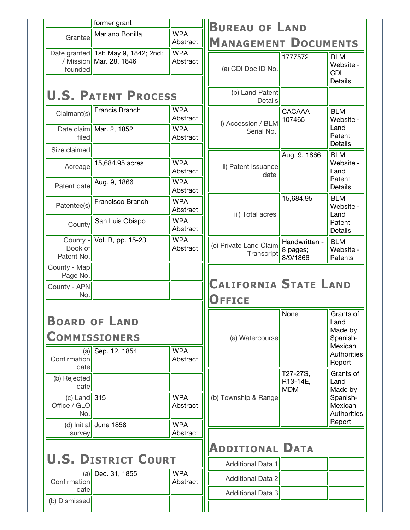|                                                                                   | former grant                                                     |                        | <b>BUREAU OF LAND</b>                         |                                       |                                                                    |  |
|-----------------------------------------------------------------------------------|------------------------------------------------------------------|------------------------|-----------------------------------------------|---------------------------------------|--------------------------------------------------------------------|--|
| Grantee                                                                           | Mariano Bonilla                                                  | <b>WPA</b><br>Abstract | <b>MANAGEMENT DOCUMENTS</b>                   |                                       |                                                                    |  |
| founded                                                                           | Date granted   1st: May 9, 1842; 2nd:<br>/ Mission Mar. 28, 1846 | <b>WPA</b><br>Abstract | (a) CDI Doc ID No.                            | 1777572                               | <b>BLM</b><br>Website -<br><b>CDI</b><br><b>Details</b>            |  |
| <b>U.S. PATENT PROCESS</b>                                                        |                                                                  |                        | (b) Land Patent<br><b>Details</b>             |                                       |                                                                    |  |
| Claimant(s)                                                                       | <b>Francis Branch</b>                                            | <b>WPA</b><br>Abstract | i) Accession / BLM                            | CACAAA<br>107465                      | <b>BLM</b><br>Website -                                            |  |
| filed                                                                             | Date claim $\vert$ Mar. 2, 1852                                  | <b>WPA</b><br>Abstract | Serial No.                                    |                                       | Land<br>Patent<br><b>Details</b>                                   |  |
| Size claimed                                                                      |                                                                  |                        |                                               | Aug. 9, 1866                          | <b>BLM</b>                                                         |  |
| Acreage                                                                           | 15,684.95 acres                                                  | <b>WPA</b><br>Abstract | ii) Patent issuance<br>date                   |                                       | Website -<br>Land<br>Patent                                        |  |
| Patent date                                                                       | Aug. 9, 1866                                                     | <b>WPA</b><br>Abstract |                                               |                                       | <b>Details</b>                                                     |  |
| Patentee(s)                                                                       | Francisco Branch                                                 | <b>WPA</b><br>Abstract | iii) Total acres                              | 15,684.95                             | <b>BLM</b><br>Website -<br>Land                                    |  |
| County                                                                            | San Luis Obispo                                                  | <b>WPA</b><br>Abstract |                                               |                                       | Patent<br><b>Details</b>                                           |  |
| Book of<br>Patent No.                                                             | County - $\vert\vert$ Vol. B, pp. 15-23                          | <b>WPA</b><br>Abstract | (c) Private Land Claim<br>Transcript          | Handwritten -<br>8 pages;<br>8/9/1866 | <b>BLM</b><br>Website -<br>Patents                                 |  |
| County - Map<br>Page No.                                                          |                                                                  |                        |                                               |                                       |                                                                    |  |
| County - APN<br>No.                                                               |                                                                  |                        | <b>CALIFORNIA STATE LAND</b><br><b>OFFICE</b> |                                       |                                                                    |  |
| <b>BOARD OF LAND</b><br><b>COMMISSIONERS</b><br><b>WPA</b><br>$(a)$ Sep. 12, 1854 |                                                                  |                        | (a) Watercourse                               | None                                  | Grants of<br>Land<br>Made by<br>Spanish-<br>Mexican<br>Authorities |  |
| Confirmation<br>date                                                              |                                                                  | Abstract               |                                               | T27-27S,                              | Report<br>Grants of                                                |  |
| (b) Rejected<br>date<br>(c) Land $\ 315$<br>Office / GLO<br>No.                   |                                                                  | <b>WPA</b><br>Abstract | (b) Township & Range                          | R13-14E,<br><b>MDM</b>                | Land<br>Made by<br>Spanish-<br>Mexican<br><b>Authorities</b>       |  |
|                                                                                   | (d) Initial June 1858                                            | <b>WPA</b>             |                                               |                                       | Report                                                             |  |
| Abstract<br>survey<br><b>ADDITIONAL DATA</b>                                      |                                                                  |                        |                                               |                                       |                                                                    |  |
|                                                                                   | <b>U.S. DISTRICT COURT</b>                                       |                        | <b>Additional Data 1</b>                      |                                       |                                                                    |  |
| Confirmation                                                                      | $(a)$ Dec. 31, 1855                                              | <b>WPA</b><br>Abstract | <b>Additional Data 2</b>                      |                                       |                                                                    |  |
| date<br>(b) Dismissed                                                             |                                                                  |                        | <b>Additional Data 3</b>                      |                                       |                                                                    |  |
|                                                                                   |                                                                  |                        |                                               |                                       |                                                                    |  |